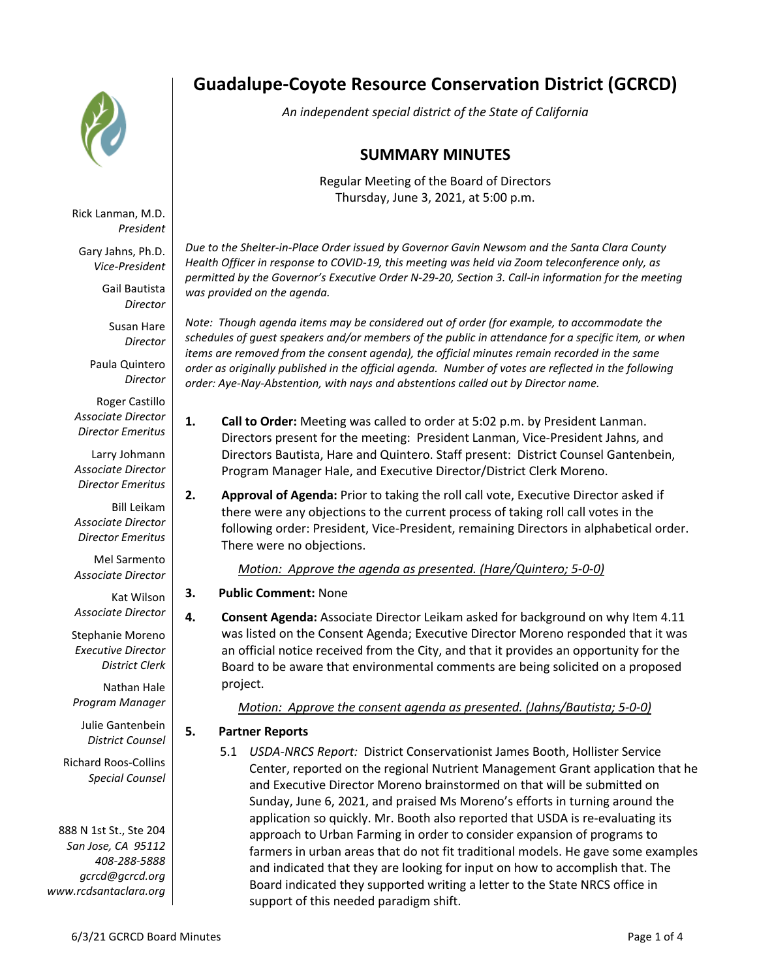

Rick Lanman, M.D. *President*

Gary Jahns, Ph.D. *Vice-President*

> Gail Bautista *Director*

Susan Hare *Director*

Paula Quintero *Director*

Roger Castillo *Associate Director Director Emeritus*

Larry Johmann *Associate Director Director Emeritus*

Bill Leikam *Associate Director Director Emeritus*

Mel Sarmento *Associate Director*

Kat Wilson *Associate Director*

Stephanie Moreno *Executive Director District Clerk*

Nathan Hale *Program Manager*

Julie Gantenbein *District Counsel*

Richard Roos-Collins *Special Counsel*

888 N 1st St., Ste 204 *San Jose, CA 95112 408-288-5888 gcrcd@gcrcd.org www.rcdsantaclara.org*

# **Guadalupe-Coyote Resource Conservation District (GCRCD)**

*An independent special district of the State of California*

## **SUMMARY MINUTES**

Regular Meeting of the Board of Directors Thursday, June 3, 2021, at 5:00 p.m.

*Due to the Shelter-in-Place Order issued by Governor Gavin Newsom and the Santa Clara County Health Officer in response to COVID-19, this meeting was held via Zoom teleconference only, as permitted by the Governor's Executive Order N-29-20, Section 3. Call-in information for the meeting was provided on the agenda.*

*Note: Though agenda items may be considered out of order (for example, to accommodate the schedules of guest speakers and/or members of the public in attendance for a specific item, or when items are removed from the consent agenda), the official minutes remain recorded in the same order as originally published in the official agenda. Number of votes are reflected in the following order: Aye-Nay-Abstention, with nays and abstentions called out by Director name.*

- **1. Call to Order:** Meeting was called to order at 5:02 p.m. by President Lanman. Directors present for the meeting: President Lanman, Vice-President Jahns, and Directors Bautista, Hare and Quintero. Staff present: District Counsel Gantenbein, Program Manager Hale, and Executive Director/District Clerk Moreno.
- **2. Approval of Agenda:** Prior to taking the roll call vote, Executive Director asked if there were any objections to the current process of taking roll call votes in the following order: President, Vice-President, remaining Directors in alphabetical order. There were no objections.

*Motion: Approve the agenda as presented. (Hare/Quintero; 5-0-0)*

- **3. Public Comment:** None
- **4. Consent Agenda:** Associate Director Leikam asked for background on why Item 4.11 was listed on the Consent Agenda; Executive Director Moreno responded that it was an official notice received from the City, and that it provides an opportunity for the Board to be aware that environmental comments are being solicited on a proposed project.

*Motion: Approve the consent agenda as presented. (Jahns/Bautista; 5-0-0)*

### **5. Partner Reports**

5.1 *USDA-NRCS Report:* District Conservationist James Booth, Hollister Service Center, reported on the regional Nutrient Management Grant application that he and Executive Director Moreno brainstormed on that will be submitted on Sunday, June 6, 2021, and praised Ms Moreno's efforts in turning around the application so quickly. Mr. Booth also reported that USDA is re-evaluating its approach to Urban Farming in order to consider expansion of programs to farmers in urban areas that do not fit traditional models. He gave some examples and indicated that they are looking for input on how to accomplish that. The Board indicated they supported writing a letter to the State NRCS office in support of this needed paradigm shift.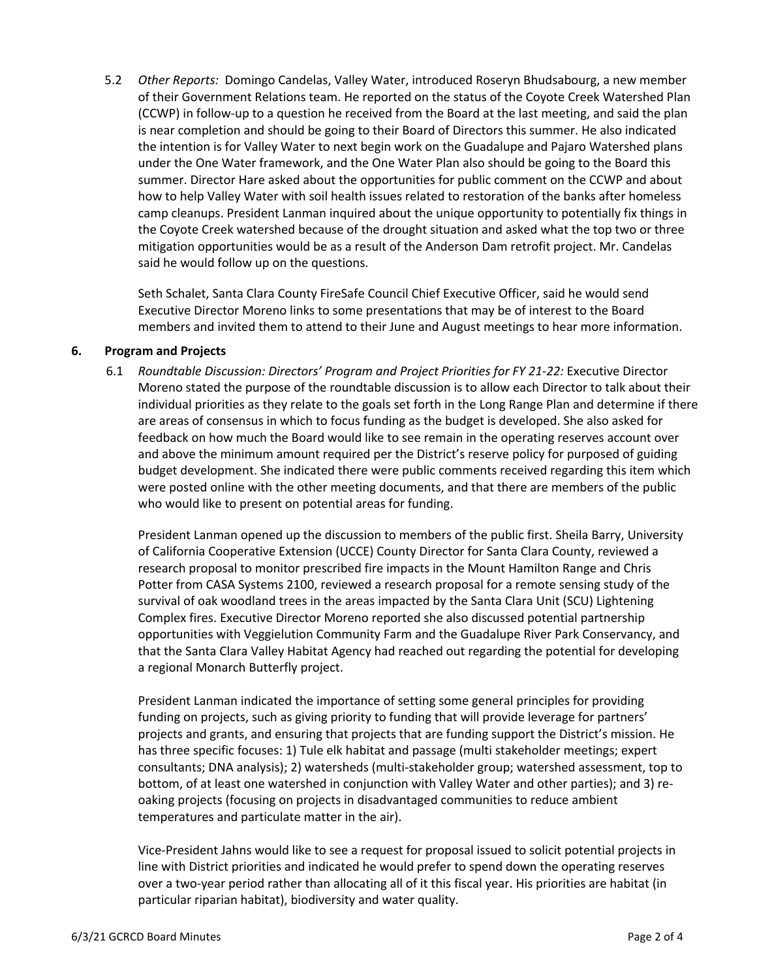5.2 *Other Reports:* Domingo Candelas, Valley Water, introduced Roseryn Bhudsabourg, a new member of their Government Relations team. He reported on the status of the Coyote Creek Watershed Plan (CCWP) in follow-up to a question he received from the Board at the last meeting, and said the plan is near completion and should be going to their Board of Directors this summer. He also indicated the intention is for Valley Water to next begin work on the Guadalupe and Pajaro Watershed plans under the One Water framework, and the One Water Plan also should be going to the Board this summer. Director Hare asked about the opportunities for public comment on the CCWP and about how to help Valley Water with soil health issues related to restoration of the banks after homeless camp cleanups. President Lanman inquired about the unique opportunity to potentially fix things in the Coyote Creek watershed because of the drought situation and asked what the top two or three mitigation opportunities would be as a result of the Anderson Dam retrofit project. Mr. Candelas said he would follow up on the questions.

Seth Schalet, Santa Clara County FireSafe Council Chief Executive Officer, said he would send Executive Director Moreno links to some presentations that may be of interest to the Board members and invited them to attend to their June and August meetings to hear more information.

#### **6. Program and Projects**

6.1 *Roundtable Discussion: Directors' Program and Project Priorities for FY 21-22:* Executive Director Moreno stated the purpose of the roundtable discussion is to allow each Director to talk about their individual priorities as they relate to the goals set forth in the Long Range Plan and determine if there are areas of consensus in which to focus funding as the budget is developed. She also asked for feedback on how much the Board would like to see remain in the operating reserves account over and above the minimum amount required per the District's reserve policy for purposed of guiding budget development. She indicated there were public comments received regarding this item which were posted online with the other meeting documents, and that there are members of the public who would like to present on potential areas for funding.

President Lanman opened up the discussion to members of the public first. Sheila Barry, University of California Cooperative Extension (UCCE) County Director for Santa Clara County, reviewed a research proposal to monitor prescribed fire impacts in the Mount Hamilton Range and Chris Potter from CASA Systems 2100, reviewed a research proposal for a remote sensing study of the survival of oak woodland trees in the areas impacted by the Santa Clara Unit (SCU) Lightening Complex fires. Executive Director Moreno reported she also discussed potential partnership opportunities with Veggielution Community Farm and the Guadalupe River Park Conservancy, and that the Santa Clara Valley Habitat Agency had reached out regarding the potential for developing a regional Monarch Butterfly project.

President Lanman indicated the importance of setting some general principles for providing funding on projects, such as giving priority to funding that will provide leverage for partners' projects and grants, and ensuring that projects that are funding support the District's mission. He has three specific focuses: 1) Tule elk habitat and passage (multi stakeholder meetings; expert consultants; DNA analysis); 2) watersheds (multi-stakeholder group; watershed assessment, top to bottom, of at least one watershed in conjunction with Valley Water and other parties); and 3) reoaking projects (focusing on projects in disadvantaged communities to reduce ambient temperatures and particulate matter in the air).

Vice-President Jahns would like to see a request for proposal issued to solicit potential projects in line with District priorities and indicated he would prefer to spend down the operating reserves over a two-year period rather than allocating all of it this fiscal year. His priorities are habitat (in particular riparian habitat), biodiversity and water quality.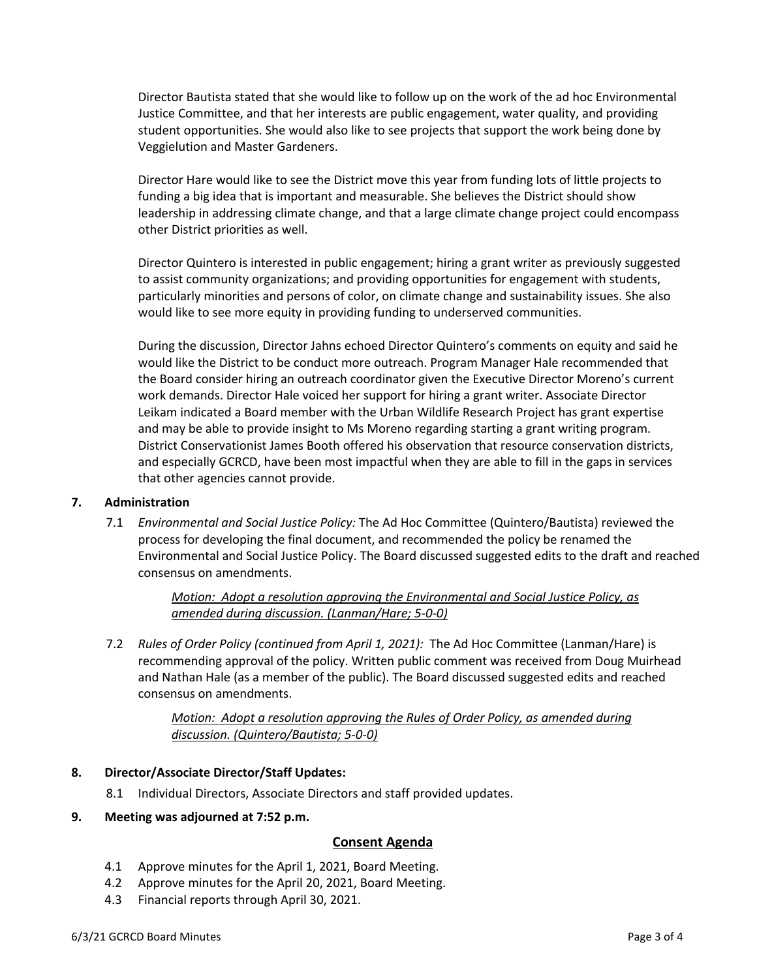Director Bautista stated that she would like to follow up on the work of the ad hoc Environmental Justice Committee, and that her interests are public engagement, water quality, and providing student opportunities. She would also like to see projects that support the work being done by Veggielution and Master Gardeners.

Director Hare would like to see the District move this year from funding lots of little projects to funding a big idea that is important and measurable. She believes the District should show leadership in addressing climate change, and that a large climate change project could encompass other District priorities as well.

Director Quintero is interested in public engagement; hiring a grant writer as previously suggested to assist community organizations; and providing opportunities for engagement with students, particularly minorities and persons of color, on climate change and sustainability issues. She also would like to see more equity in providing funding to underserved communities.

During the discussion, Director Jahns echoed Director Quintero's comments on equity and said he would like the District to be conduct more outreach. Program Manager Hale recommended that the Board consider hiring an outreach coordinator given the Executive Director Moreno's current work demands. Director Hale voiced her support for hiring a grant writer. Associate Director Leikam indicated a Board member with the Urban Wildlife Research Project has grant expertise and may be able to provide insight to Ms Moreno regarding starting a grant writing program. District Conservationist James Booth offered his observation that resource conservation districts, and especially GCRCD, have been most impactful when they are able to fill in the gaps in services that other agencies cannot provide.

#### **7. Administration**

7.1 *Environmental and Social Justice Policy:* The Ad Hoc Committee (Quintero/Bautista) reviewed the process for developing the final document, and recommended the policy be renamed the Environmental and Social Justice Policy. The Board discussed suggested edits to the draft and reached consensus on amendments.

> *Motion: Adopt a resolution approving the Environmental and Social Justice Policy, as amended during discussion. (Lanman/Hare; 5-0-0)*

7.2 *Rules of Order Policy (continued from April 1, 2021):* The Ad Hoc Committee (Lanman/Hare) is recommending approval of the policy. Written public comment was received from Doug Muirhead and Nathan Hale (as a member of the public). The Board discussed suggested edits and reached consensus on amendments.

> *Motion: Adopt a resolution approving the Rules of Order Policy, as amended during discussion. (Quintero/Bautista; 5-0-0)*

#### **8. Director/Associate Director/Staff Updates:**

8.1 Individual Directors, Associate Directors and staff provided updates.

#### **9. Meeting was adjourned at 7:52 p.m.**

#### **Consent Agenda**

- 4.1 Approve minutes for the April 1, 2021, Board Meeting.
- 4.2 Approve minutes for the April 20, 2021, Board Meeting.
- 4.3 Financial reports through April 30, 2021.